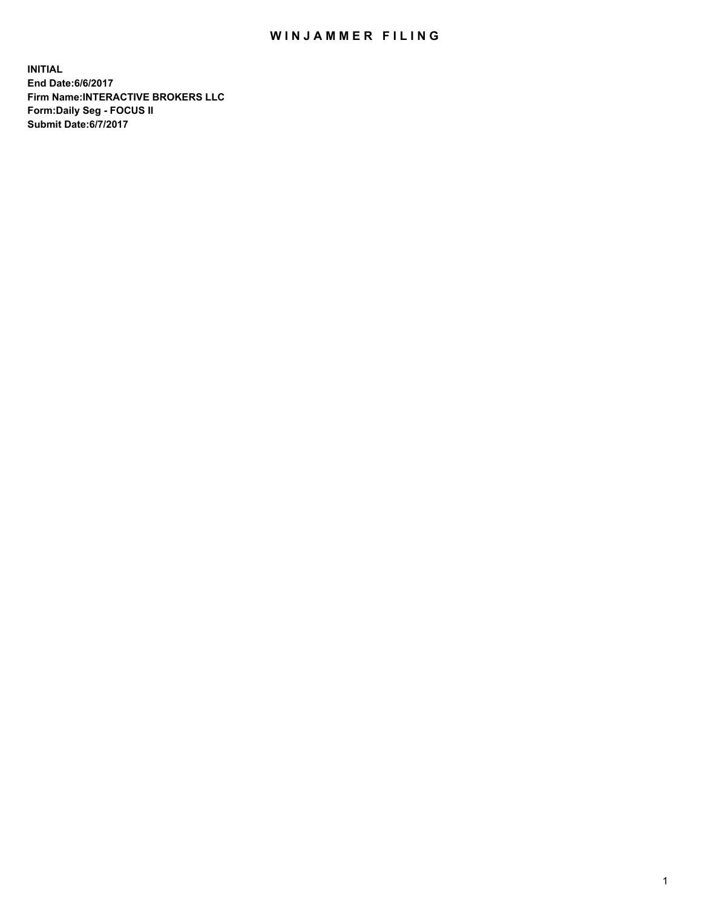## WIN JAMMER FILING

**INITIAL End Date:6/6/2017 Firm Name:INTERACTIVE BROKERS LLC Form:Daily Seg - FOCUS II Submit Date:6/7/2017**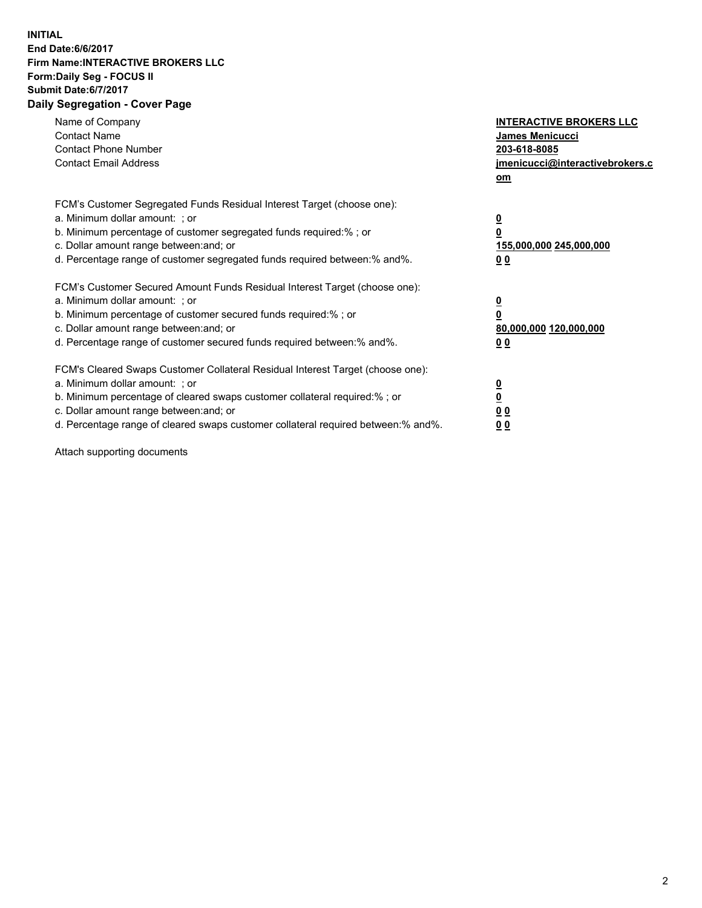## **INITIAL End Date:6/6/2017 Firm Name:INTERACTIVE BROKERS LLC Form:Daily Seg - FOCUS II Submit Date:6/7/2017 Daily Segregation - Cover Page**

| Name of Company<br><b>Contact Name</b><br><b>Contact Phone Number</b><br><b>Contact Email Address</b>                                                                                                                                                                                                                          | <b>INTERACTIVE BROKERS LLC</b><br>James Menicucci<br>203-618-8085<br>jmenicucci@interactivebrokers.c<br>om |
|--------------------------------------------------------------------------------------------------------------------------------------------------------------------------------------------------------------------------------------------------------------------------------------------------------------------------------|------------------------------------------------------------------------------------------------------------|
| FCM's Customer Segregated Funds Residual Interest Target (choose one):<br>a. Minimum dollar amount: ; or<br>b. Minimum percentage of customer segregated funds required:% ; or<br>c. Dollar amount range between: and; or<br>d. Percentage range of customer segregated funds required between:% and%.                         | $\overline{\mathbf{0}}$<br>0<br>155,000,000 245,000,000<br>0 <sub>0</sub>                                  |
| FCM's Customer Secured Amount Funds Residual Interest Target (choose one):<br>a. Minimum dollar amount: ; or<br>b. Minimum percentage of customer secured funds required:%; or<br>c. Dollar amount range between: and; or<br>d. Percentage range of customer secured funds required between: % and %.                          | $\overline{\mathbf{0}}$<br>0<br>80,000,000 120,000,000<br>0 <sub>0</sub>                                   |
| FCM's Cleared Swaps Customer Collateral Residual Interest Target (choose one):<br>a. Minimum dollar amount: ; or<br>b. Minimum percentage of cleared swaps customer collateral required:% ; or<br>c. Dollar amount range between: and; or<br>d. Percentage range of cleared swaps customer collateral required between:% and%. | $\overline{\mathbf{0}}$<br>$\overline{\mathbf{0}}$<br>0 <sub>0</sub><br>0 <sub>0</sub>                     |

Attach supporting documents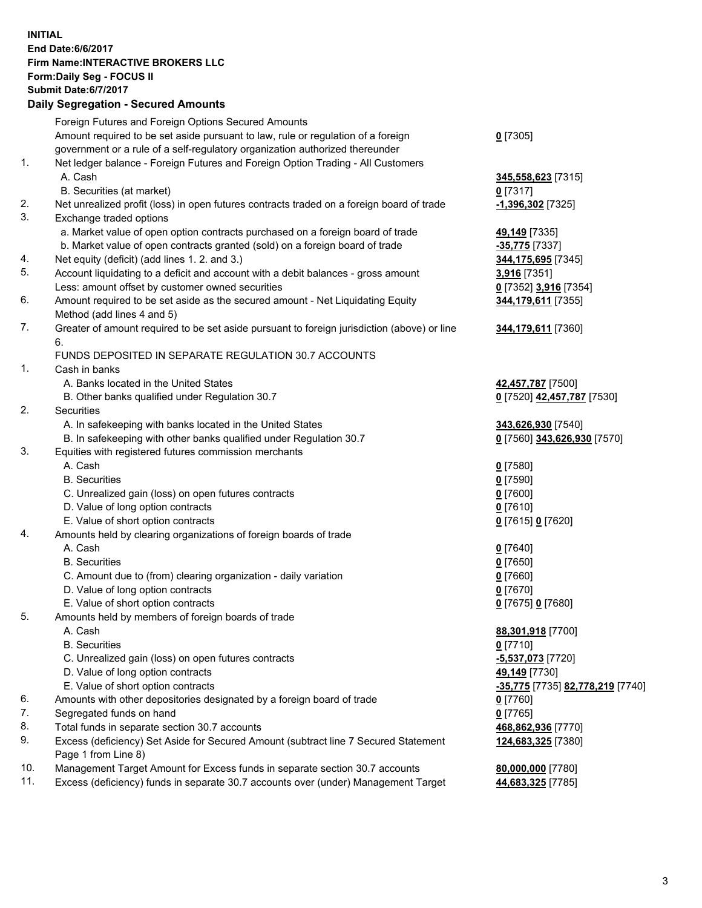## **INITIAL End Date:6/6/2017 Firm Name:INTERACTIVE BROKERS LLC Form:Daily Seg - FOCUS II Submit Date:6/7/2017 Daily Segregation - Secured Amounts**

|     | Foreign Futures and Foreign Options Secured Amounts                                         |                                        |
|-----|---------------------------------------------------------------------------------------------|----------------------------------------|
|     | Amount required to be set aside pursuant to law, rule or regulation of a foreign            | $0$ [7305]                             |
|     | government or a rule of a self-regulatory organization authorized thereunder                |                                        |
| 1.  | Net ledger balance - Foreign Futures and Foreign Option Trading - All Customers             |                                        |
|     | A. Cash                                                                                     | 345,558,623 [7315]                     |
|     | B. Securities (at market)                                                                   | $0$ [7317]                             |
| 2.  | Net unrealized profit (loss) in open futures contracts traded on a foreign board of trade   | 1,396,302 [7325]                       |
| 3.  | Exchange traded options                                                                     |                                        |
|     | a. Market value of open option contracts purchased on a foreign board of trade              | 49,149 [7335]                          |
|     | b. Market value of open contracts granted (sold) on a foreign board of trade                | -35,775 [7337]                         |
| 4.  | Net equity (deficit) (add lines 1. 2. and 3.)                                               | 344,175,695 [7345]                     |
| 5.  | Account liquidating to a deficit and account with a debit balances - gross amount           | 3,916 [7351]                           |
|     | Less: amount offset by customer owned securities                                            | 0 [7352] 3,916 [7354]                  |
| 6.  | Amount required to be set aside as the secured amount - Net Liquidating Equity              | 344,179,611 [7355]                     |
|     | Method (add lines 4 and 5)                                                                  |                                        |
| 7.  | Greater of amount required to be set aside pursuant to foreign jurisdiction (above) or line | 344,179,611 [7360]                     |
|     | 6.                                                                                          |                                        |
|     | FUNDS DEPOSITED IN SEPARATE REGULATION 30.7 ACCOUNTS                                        |                                        |
| 1.  | Cash in banks                                                                               |                                        |
|     | A. Banks located in the United States                                                       | 42,457,787 [7500]                      |
|     | B. Other banks qualified under Regulation 30.7                                              | 0 [7520] 42,457,787 [7530]             |
| 2.  | Securities                                                                                  |                                        |
|     | A. In safekeeping with banks located in the United States                                   | 343,626,930 [7540]                     |
|     | B. In safekeeping with other banks qualified under Regulation 30.7                          | 0 [7560] 343,626,930 [7570]            |
| 3.  | Equities with registered futures commission merchants                                       |                                        |
|     | A. Cash                                                                                     | $0$ [7580]                             |
|     | <b>B.</b> Securities                                                                        | $0$ [7590]                             |
|     | C. Unrealized gain (loss) on open futures contracts                                         | $0$ [7600]                             |
|     | D. Value of long option contracts                                                           | $0$ [7610]                             |
|     | E. Value of short option contracts                                                          | 0 [7615] 0 [7620]                      |
| 4.  | Amounts held by clearing organizations of foreign boards of trade                           |                                        |
|     | A. Cash                                                                                     | $0$ [7640]                             |
|     | <b>B.</b> Securities                                                                        | $0$ [7650]                             |
|     | C. Amount due to (from) clearing organization - daily variation                             | $0$ [7660]                             |
|     | D. Value of long option contracts                                                           | $0$ [7670]                             |
|     | E. Value of short option contracts                                                          | 0 [7675] 0 [7680]                      |
| 5.  | Amounts held by members of foreign boards of trade                                          |                                        |
|     | A. Cash                                                                                     | 88,301,918 [7700]                      |
|     | <b>B.</b> Securities                                                                        | $0$ [7710]                             |
|     | C. Unrealized gain (loss) on open futures contracts                                         | $-5,537,073$ [7720]                    |
|     | D. Value of long option contracts                                                           | 49,149 [7730]                          |
|     | E. Value of short option contracts                                                          | -35,775 [7735] 82,778,219 [7740]       |
| 6.  | Amounts with other depositories designated by a foreign board of trade                      | $0$ [7760]                             |
| 7.  | Segregated funds on hand                                                                    | $0$ [7765]                             |
| 8.  | Total funds in separate section 30.7 accounts                                               | 468,862,936 [7770]                     |
| 9.  | Excess (deficiency) Set Aside for Secured Amount (subtract line 7 Secured Statement         | 124,683,325 [7380]                     |
|     | Page 1 from Line 8)                                                                         |                                        |
| 10. | Management Target Amount for Excess funds in separate section 30.7 accounts                 |                                        |
| 11. | Excess (deficiency) funds in separate 30.7 accounts over (under) Management Target          | 80,000,000 [7780]<br>44,683,325 [7785] |
|     |                                                                                             |                                        |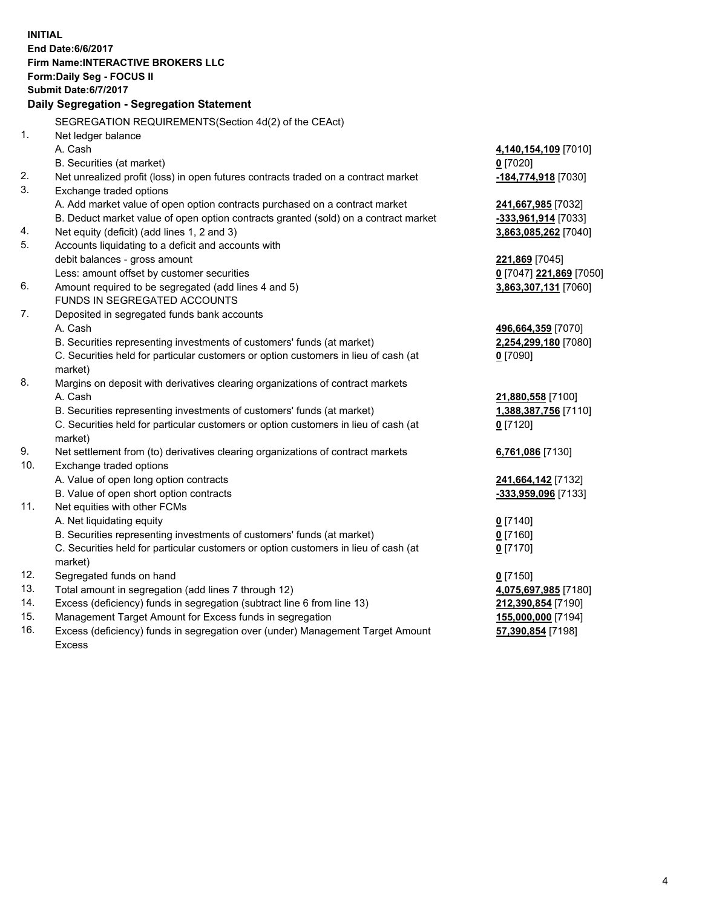**INITIAL End Date:6/6/2017 Firm Name:INTERACTIVE BROKERS LLC Form:Daily Seg - FOCUS II Submit Date:6/7/2017 Daily Segregation - Segregation Statement** SEGREGATION REQUIREMENTS(Section 4d(2) of the CEAct) 1. Net ledger balance A. Cash **4,140,154,109** [7010] B. Securities (at market) **0** [7020] 2. Net unrealized profit (loss) in open futures contracts traded on a contract market **-184,774,918** [7030] 3. Exchange traded options A. Add market value of open option contracts purchased on a contract market **241,667,985** [7032] B. Deduct market value of open option contracts granted (sold) on a contract market **-333,961,914** [7033] 4. Net equity (deficit) (add lines 1, 2 and 3) **3,863,085,262** [7040] 5. Accounts liquidating to a deficit and accounts with debit balances - gross amount **221,869** [7045] Less: amount offset by customer securities **0** [7047] **221,869** [7050] 6. Amount required to be segregated (add lines 4 and 5) **3,863,307,131** [7060] FUNDS IN SEGREGATED ACCOUNTS 7. Deposited in segregated funds bank accounts A. Cash **496,664,359** [7070] B. Securities representing investments of customers' funds (at market) **2,254,299,180** [7080] C. Securities held for particular customers or option customers in lieu of cash (at market) **0** [7090] 8. Margins on deposit with derivatives clearing organizations of contract markets A. Cash **21,880,558** [7100] B. Securities representing investments of customers' funds (at market) **1,388,387,756** [7110] C. Securities held for particular customers or option customers in lieu of cash (at market) **0** [7120] 9. Net settlement from (to) derivatives clearing organizations of contract markets **6,761,086** [7130] 10. Exchange traded options A. Value of open long option contracts **241,664,142** [7132] B. Value of open short option contracts **-333,959,096** [7133] 11. Net equities with other FCMs A. Net liquidating equity **0** [7140] B. Securities representing investments of customers' funds (at market) **0** [7160] C. Securities held for particular customers or option customers in lieu of cash (at market) **0** [7170] 12. Segregated funds on hand **0** [7150] 13. Total amount in segregation (add lines 7 through 12) **4,075,697,985** [7180] 14. Excess (deficiency) funds in segregation (subtract line 6 from line 13) **212,390,854** [7190] 15. Management Target Amount for Excess funds in segregation **155,000,000** [7194]

16. Excess (deficiency) funds in segregation over (under) Management Target Amount Excess

**57,390,854** [7198]